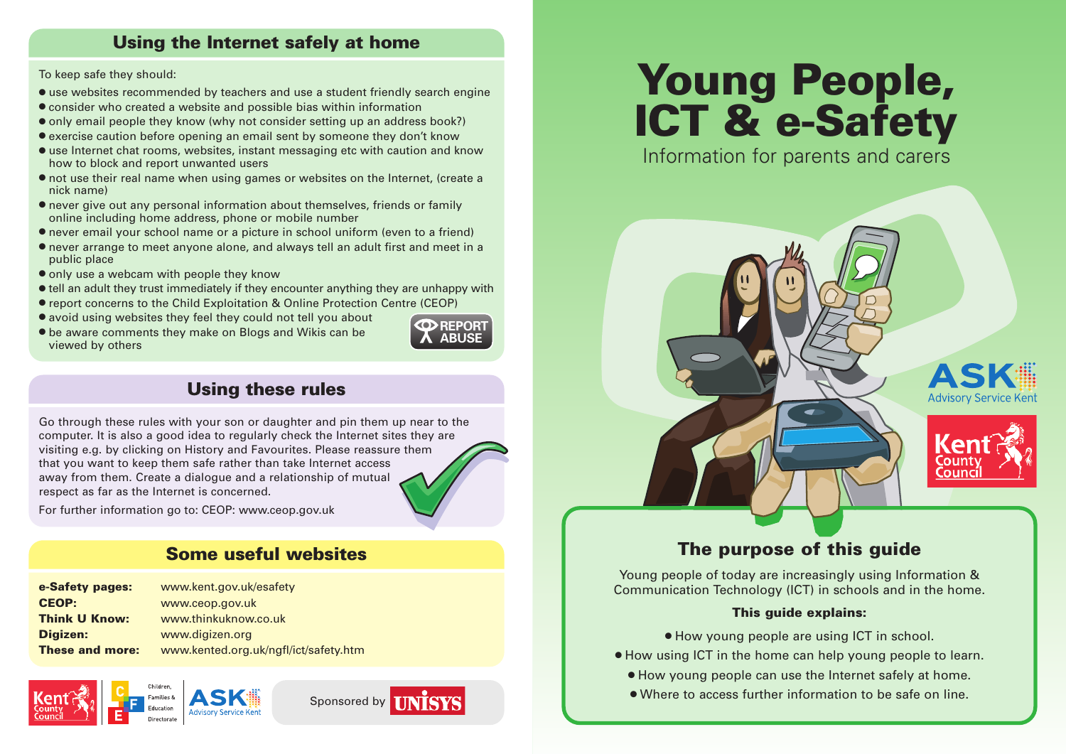# **Using the Internet safely at home**

#### To keep safe they should:

- **●** use websites recommended by teachers and use a student friendly search engine
- **●** consider who created a website and possible bias within information
- **●** only email people they know (why not consider setting up an address book?)
- **●** exercise caution before opening an email sent by someone they don't know
- **●** use Internet chat rooms, websites, instant messaging etc with caution and know how to block and report unwanted users
- **●** not use their real name when using games or websites on the Internet, (create a nick name)
- **●** never give out any personal information about themselves, friends or family online including home address, phone or mobile number
- **●** never email your school name or a picture in school uniform (even to a friend)
- **●** never arrange to meet anyone alone, and always tell an adult first and meet in a public place
- **●** only use a webcam with people they know
- **●** tell an adult they trust immediately if they encounter anything they are unhappy with
- **●** report concerns to the Child Exploitation & Online Protection Centre (CEOP)
- **●** avoid using websites they feel they could not tell you about
- **●** be aware comments they make on Blogs and Wikis can be viewed by others



# **Using these rules**

Go through these rules with your son or daughter and pin them up near to the computer. It is also a good idea to regularly check the Internet sites they are visiting e.g. by clicking on History and Favourites. Please reassure them that you want to keep them safe rather than take Internet access away from them. Create a dialogue and a relationship of mutual respect as far as the Internet is concerned.

For further information go to: CEOP: www.ceop.gov.uk

## **Some useful websites**

| www.kent.gov.uk/esafety               |
|---------------------------------------|
| www.ceop.gov.uk                       |
| www.thinkuknow.co.uk                  |
| www.digizen.org                       |
| www.kented.org.uk/ngfl/ict/safety.htm |
|                                       |







# **Young People, ICT & e-Safety**

Information for parents and carers





# **The purpose of this guide**

Young people of today are increasingly using Information & Communication Technology (ICT) in schools and in the home.

#### **This guide explains:**

- **●** How young people are using ICT in school.
- **●** How using ICT in the home can help young people to learn.
	- **●** How young people can use the Internet safely at home.
	- **●** Where to access further information to be safe on line.